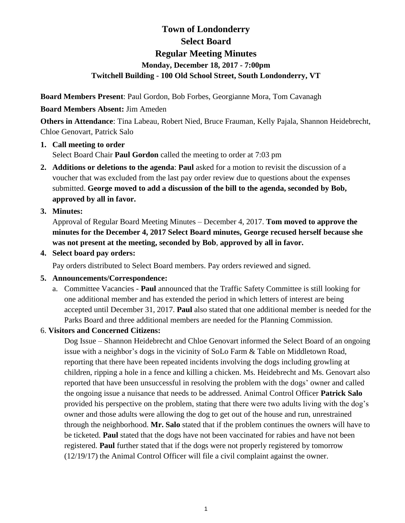# **Town of Londonderry Select Board Regular Meeting Minutes Monday, December 18, 2017 - 7:00pm Twitchell Building - 100 Old School Street, South Londonderry, VT**

**Board Members Present**: Paul Gordon, Bob Forbes, Georgianne Mora, Tom Cavanagh

# **Board Members Absent:** Jim Ameden

**Others in Attendance**: Tina Labeau, Robert Nied, Bruce Frauman, Kelly Pajala, Shannon Heidebrecht, Chloe Genovart, Patrick Salo

# **1. Call meeting to order** Select Board Chair **Paul Gordon** called the meeting to order at 7:03 pm

**2. Additions or deletions to the agenda**: **Paul** asked for a motion to revisit the discussion of a voucher that was excluded from the last pay order review due to questions about the expenses submitted. **George moved to add a discussion of the bill to the agenda, seconded by Bob, approved by all in favor.**

# **3. Minutes:**

Approval of Regular Board Meeting Minutes – December 4, 2017. **Tom moved to approve the minutes for the December 4, 2017 Select Board minutes, George recused herself because she was not present at the meeting, seconded by Bob**, **approved by all in favor.** 

# **4. Select board pay orders:**

Pay orders distributed to Select Board members. Pay orders reviewed and signed.

# **5. Announcements/Correspondence:**

a. Committee Vacancies - **Paul** announced that the Traffic Safety Committee is still looking for one additional member and has extended the period in which letters of interest are being accepted until December 31, 2017. **Paul** also stated that one additional member is needed for the Parks Board and three additional members are needed for the Planning Commission.

# 6. **Visitors and Concerned Citizens:**

Dog Issue – Shannon Heidebrecht and Chloe Genovart informed the Select Board of an ongoing issue with a neighbor's dogs in the vicinity of SoLo Farm & Table on Middletown Road, reporting that there have been repeated incidents involving the dogs including growling at children, ripping a hole in a fence and killing a chicken. Ms. Heidebrecht and Ms. Genovart also reported that have been unsuccessful in resolving the problem with the dogs' owner and called the ongoing issue a nuisance that needs to be addressed. Animal Control Officer **Patrick Salo** provided his perspective on the problem, stating that there were two adults living with the dog's owner and those adults were allowing the dog to get out of the house and run, unrestrained through the neighborhood. **Mr. Salo** stated that if the problem continues the owners will have to be ticketed. **Paul** stated that the dogs have not been vaccinated for rabies and have not been registered. **Paul** further stated that if the dogs were not properly registered by tomorrow (12/19/17) the Animal Control Officer will file a civil complaint against the owner.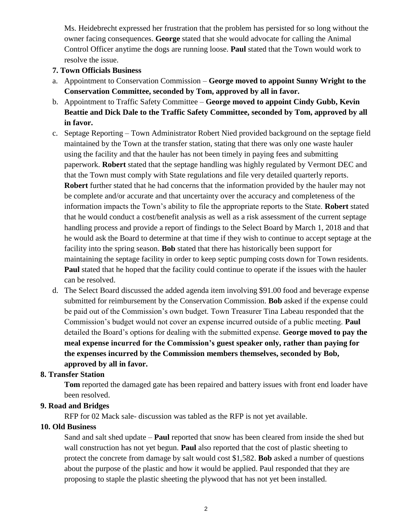Ms. Heidebrecht expressed her frustration that the problem has persisted for so long without the owner facing consequences. **George** stated that she would advocate for calling the Animal Control Officer anytime the dogs are running loose. **Paul** stated that the Town would work to resolve the issue.

#### **7. Town Officials Business**

- a. Appointment to Conservation Commission **George moved to appoint Sunny Wright to the Conservation Committee, seconded by Tom, approved by all in favor.**
- b. Appointment to Traffic Safety Committee **George moved to appoint Cindy Gubb, Kevin Beattie and Dick Dale to the Traffic Safety Committee, seconded by Tom, approved by all in favor.**
- c. Septage Reporting Town Administrator Robert Nied provided background on the septage field maintained by the Town at the transfer station, stating that there was only one waste hauler using the facility and that the hauler has not been timely in paying fees and submitting paperwork. **Robert** stated that the septage handling was highly regulated by Vermont DEC and that the Town must comply with State regulations and file very detailed quarterly reports. **Robert** further stated that he had concerns that the information provided by the hauler may not be complete and/or accurate and that uncertainty over the accuracy and completeness of the information impacts the Town's ability to file the appropriate reports to the State. **Robert** stated that he would conduct a cost/benefit analysis as well as a risk assessment of the current septage handling process and provide a report of findings to the Select Board by March 1, 2018 and that he would ask the Board to determine at that time if they wish to continue to accept septage at the facility into the spring season. **Bob** stated that there has historically been support for maintaining the septage facility in order to keep septic pumping costs down for Town residents. **Paul** stated that he hoped that the facility could continue to operate if the issues with the hauler can be resolved.
- d. The Select Board discussed the added agenda item involving \$91.00 food and beverage expense submitted for reimbursement by the Conservation Commission. **Bob** asked if the expense could be paid out of the Commission's own budget. Town Treasurer Tina Labeau responded that the Commission's budget would not cover an expense incurred outside of a public meeting. **Paul** detailed the Board's options for dealing with the submitted expense. **George moved to pay the meal expense incurred for the Commission's guest speaker only, rather than paying for the expenses incurred by the Commission members themselves, seconded by Bob, approved by all in favor.**

#### **8. Transfer Station**

**Tom** reported the damaged gate has been repaired and battery issues with front end loader have been resolved.

#### **9. Road and Bridges**

RFP for 02 Mack sale- discussion was tabled as the RFP is not yet available.

#### **10. Old Business**

Sand and salt shed update – **Paul** reported that snow has been cleared from inside the shed but wall construction has not yet begun. **Paul** also reported that the cost of plastic sheeting to protect the concrete from damage by salt would cost \$1,582. **Bob** asked a number of questions about the purpose of the plastic and how it would be applied. Paul responded that they are proposing to staple the plastic sheeting the plywood that has not yet been installed.